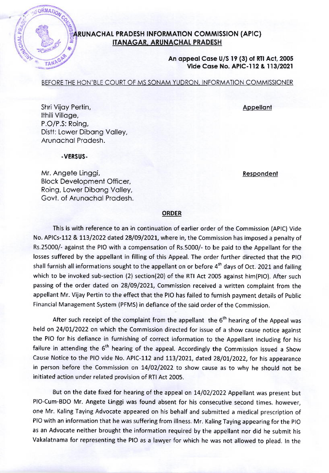## **ARUNACHAL PRADESH INFORMATION COMMISSION (APIC)** IIANAGAR, ARUNACHAI PRADESH

## An appeal Case U/S 19 (3) of RTI Act, 2005 Vide Case No. APIC-112 & 113/2021

BEFORE THE HON'BLE COURT OF MS SONAM YUDRON, INFORMATION COMMISSIONER

**Appellant** 

Respondent

Shri Vijoy Pertin, Ithili Villoge, P.O/P.S: Roing, Distt: Lower Dibang Valley, Arunochol Prodesh.

.VERSUS-

ORMATION CO

**SCHAL PRADE** 

Mr. Angete Linggi, Block Development Officer, Roing, Lower Dibong Volley, Govt. of Arunachal Pradesh.

## ORDER

This is with reference to an in continuation of earlier order of the Commission (APIC) Vide No. APICs-112 & 113/2022 dated 28/09/2021, where in, the Commission has imposed a penalty of Rs.25000/- against the PIO with a compensation of Rs.5000/- to be paid to the Appellant for the losses suffered by the appellant in filling of this Appeal. The order further directed that the PIO shall furnish all informations sought to the appellant on or before  $4<sup>th</sup>$  days of Oct. 2021 and failing which to be invoked sub-section (2) section(20) of the RTI Act 2005 against him(PlO). After such passing of the order dated on 28/09/2O2L, Commission received a written complaint from the appellant Mr. Vijay Pertin to the effect that the PIO has failed to furnish payment details of Public Financial Management System (PFMS) in defiance of the said order of the Conrmission.

After such receipt of the complaint from the appellant the  $6<sup>th</sup>$  hearing of the Appeal was held on 24/01/2022 on which the Commission directed for issue of a show cause notice against the PIO for his defiance in furnishing of correct information to the Appellant including for his failure in attending the  $6<sup>th</sup>$  hearing of the appeal. Accordingly the Commission issued a Show Cause Notice to the PIO vide No. APIC-112 and 113/2021, dated 28/01/2022, for his appearance in person before the Commission on 14/02/2022 to show cause as to why he should not be initiated action under related provision of RTI Act 2005.

But on the date fixed for hearing of the appeal on 14/02/2022 Appellant was present but PIO-Cum-BDO Mr. Angete Linggi was found absent for his consecutive second times. however, one Mr. Kaling Taying Advocate appeared on his behalf and submitted a medical prescription of PIO with an information that he was suffering from illness. Mr. Kaling Taying appearing for the PIO as an Advocate neither brought the information required by the appellant nor did he submit his Vakalatnama for representing the PIO as a lawyer for which he was not allowed to plead. In the